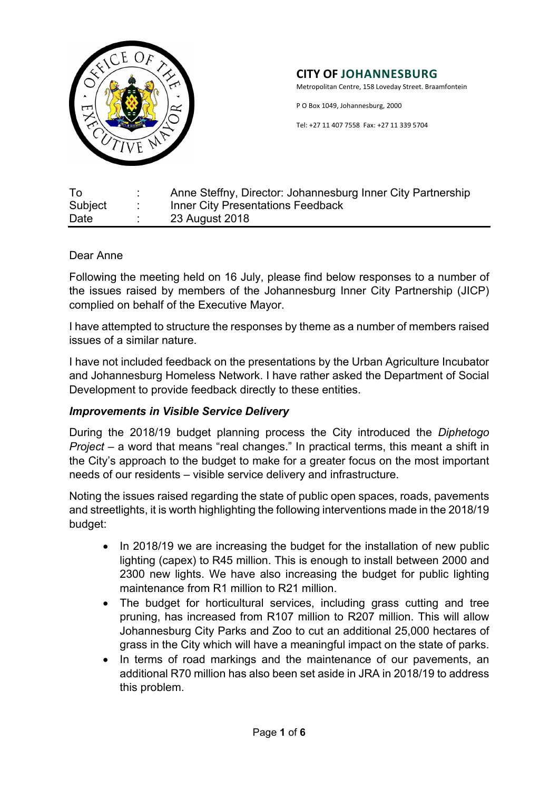

Metropolitan Centre, 158 Loveday Street. Braamfontein

P O Box 1049, Johannesburg, 2000

Tel: +27 11 407 7558 Fax: +27 11 339 5704

| To      | Anne Steffny, Director: Johannesburg Inner City Partnership |
|---------|-------------------------------------------------------------|
| Subject | <b>Inner City Presentations Feedback</b>                    |
| Date    | 23 August 2018                                              |

#### Dear Anne

Following the meeting held on 16 July, please find below responses to a number of the issues raised by members of the Johannesburg Inner City Partnership (JICP) complied on behalf of the Executive Mayor.

I have attempted to structure the responses by theme as a number of members raised issues of a similar nature.

I have not included feedback on the presentations by the Urban Agriculture Incubator and Johannesburg Homeless Network. I have rather asked the Department of Social Development to provide feedback directly to these entities.

## *Improvements in Visible Service Delivery*

During the 2018/19 budget planning process the City introduced the *Diphetogo Project* – a word that means "real changes." In practical terms, this meant a shift in the City's approach to the budget to make for a greater focus on the most important needs of our residents – visible service delivery and infrastructure.

Noting the issues raised regarding the state of public open spaces, roads, pavements and streetlights, it is worth highlighting the following interventions made in the 2018/19 budget:

- In 2018/19 we are increasing the budget for the installation of new public lighting (capex) to R45 million. This is enough to install between 2000 and 2300 new lights. We have also increasing the budget for public lighting maintenance from R1 million to R21 million.
- The budget for horticultural services, including grass cutting and tree pruning, has increased from R107 million to R207 million. This will allow Johannesburg City Parks and Zoo to cut an additional 25,000 hectares of grass in the City which will have a meaningful impact on the state of parks.
- In terms of road markings and the maintenance of our pavements, an additional R70 million has also been set aside in JRA in 2018/19 to address this problem.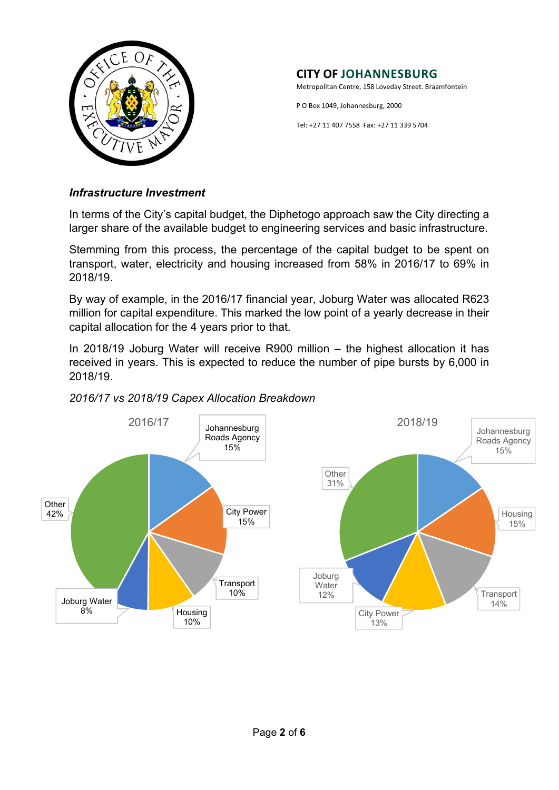

Metropolitan Centre, 158 Loveday Street. Braamfontein

P O Box 1049, Johannesburg, 2000

Tel: +27 11 407 7558 Fax: +27 11 339 5704

#### *Infrastructure Investment*

In terms of the City's capital budget, the Diphetogo approach saw the City directing a larger share of the available budget to engineering services and basic infrastructure.

Stemming from this process, the percentage of the capital budget to be spent on transport, water, electricity and housing increased from 58% in 2016/17 to 69% in 2018/19.

By way of example, in the 2016/17 financial year, Joburg Water was allocated R623 million for capital expenditure. This marked the low point of a yearly decrease in their capital allocation for the 4 years prior to that.

In 2018/19 Joburg Water will receive R900 million – the highest allocation it has received in years. This is expected to reduce the number of pipe bursts by 6,000 in 2018/19.



# *2016/17 vs 2018/19 Capex Allocation Breakdown*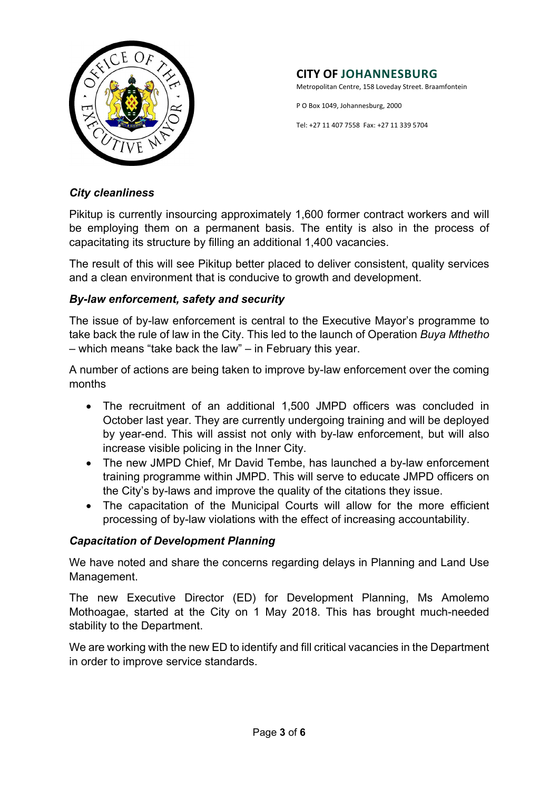

Metropolitan Centre, 158 Loveday Street. Braamfontein

P O Box 1049, Johannesburg, 2000

Tel: +27 11 407 7558 Fax: +27 11 339 5704

#### *City cleanliness*

Pikitup is currently insourcing approximately 1,600 former contract workers and will be employing them on a permanent basis. The entity is also in the process of capacitating its structure by filling an additional 1,400 vacancies.

The result of this will see Pikitup better placed to deliver consistent, quality services and a clean environment that is conducive to growth and development.

## *By-law enforcement, safety and security*

The issue of by-law enforcement is central to the Executive Mayor's programme to take back the rule of law in the City. This led to the launch of Operation *Buya Mthetho* – which means "take back the law" – in February this year.

A number of actions are being taken to improve by-law enforcement over the coming months

- The recruitment of an additional 1,500 JMPD officers was concluded in October last year. They are currently undergoing training and will be deployed by year-end. This will assist not only with by-law enforcement, but will also increase visible policing in the Inner City.
- The new JMPD Chief, Mr David Tembe, has launched a by-law enforcement training programme within JMPD. This will serve to educate JMPD officers on the City's by-laws and improve the quality of the citations they issue.
- The capacitation of the Municipal Courts will allow for the more efficient processing of by-law violations with the effect of increasing accountability.

## *Capacitation of Development Planning*

We have noted and share the concerns regarding delays in Planning and Land Use Management.

The new Executive Director (ED) for Development Planning, Ms Amolemo Mothoagae, started at the City on 1 May 2018. This has brought much-needed stability to the Department.

We are working with the new ED to identify and fill critical vacancies in the Department in order to improve service standards.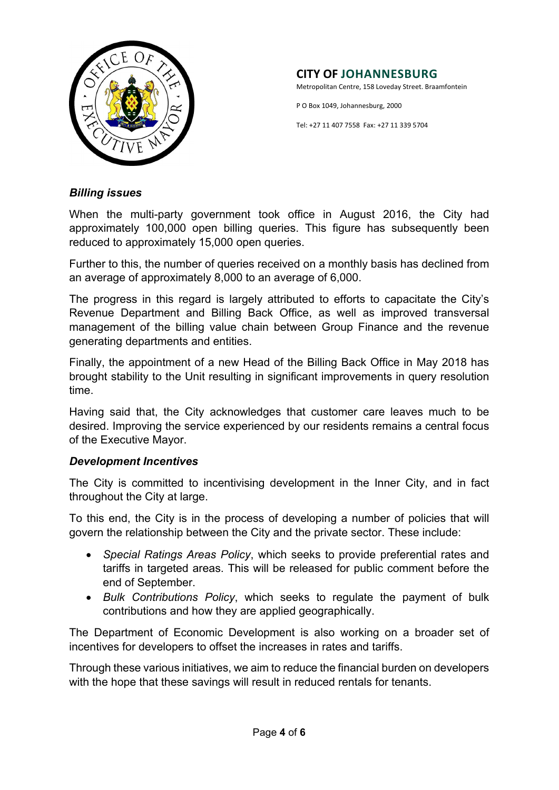

Metropolitan Centre, 158 Loveday Street. Braamfontein

P O Box 1049, Johannesburg, 2000

Tel: +27 11 407 7558 Fax: +27 11 339 5704

#### *Billing issues*

When the multi-party government took office in August 2016, the City had approximately 100,000 open billing queries. This figure has subsequently been reduced to approximately 15,000 open queries.

Further to this, the number of queries received on a monthly basis has declined from an average of approximately 8,000 to an average of 6,000.

The progress in this regard is largely attributed to efforts to capacitate the City's Revenue Department and Billing Back Office, as well as improved transversal management of the billing value chain between Group Finance and the revenue generating departments and entities.

Finally, the appointment of a new Head of the Billing Back Office in May 2018 has brought stability to the Unit resulting in significant improvements in query resolution time.

Having said that, the City acknowledges that customer care leaves much to be desired. Improving the service experienced by our residents remains a central focus of the Executive Mayor.

## *Development Incentives*

The City is committed to incentivising development in the Inner City, and in fact throughout the City at large.

To this end, the City is in the process of developing a number of policies that will govern the relationship between the City and the private sector. These include:

- *Special Ratings Areas Policy*, which seeks to provide preferential rates and tariffs in targeted areas. This will be released for public comment before the end of September.
- *Bulk Contributions Policy*, which seeks to regulate the payment of bulk contributions and how they are applied geographically.

The Department of Economic Development is also working on a broader set of incentives for developers to offset the increases in rates and tariffs.

Through these various initiatives, we aim to reduce the financial burden on developers with the hope that these savings will result in reduced rentals for tenants.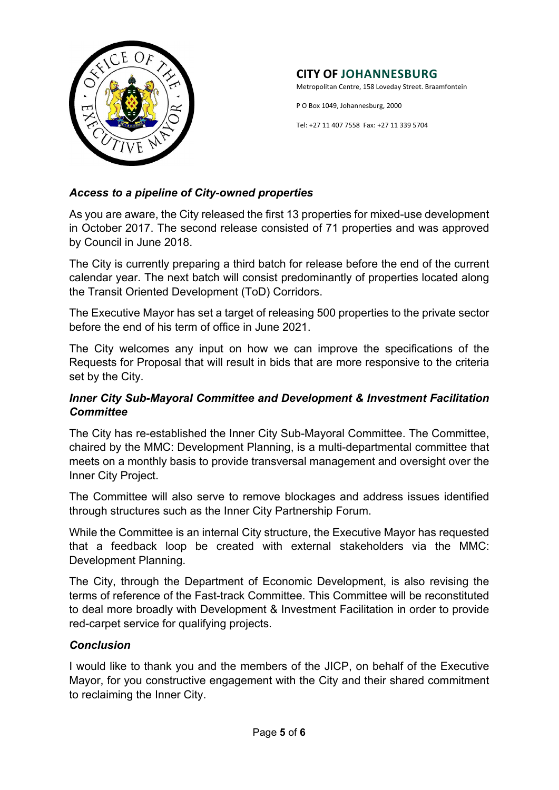

Metropolitan Centre, 158 Loveday Street. Braamfontein

P O Box 1049, Johannesburg, 2000

Tel: +27 11 407 7558 Fax: +27 11 339 5704

# *Access to a pipeline of City-owned properties*

As you are aware, the City released the first 13 properties for mixed-use development in October 2017. The second release consisted of 71 properties and was approved by Council in June 2018.

The City is currently preparing a third batch for release before the end of the current calendar year. The next batch will consist predominantly of properties located along the Transit Oriented Development (ToD) Corridors.

The Executive Mayor has set a target of releasing 500 properties to the private sector before the end of his term of office in June 2021.

The City welcomes any input on how we can improve the specifications of the Requests for Proposal that will result in bids that are more responsive to the criteria set by the City.

## *Inner City Sub-Mayoral Committee and Development & Investment Facilitation Committee*

The City has re-established the Inner City Sub-Mayoral Committee. The Committee, chaired by the MMC: Development Planning, is a multi-departmental committee that meets on a monthly basis to provide transversal management and oversight over the Inner City Project.

The Committee will also serve to remove blockages and address issues identified through structures such as the Inner City Partnership Forum.

While the Committee is an internal City structure, the Executive Mayor has requested that a feedback loop be created with external stakeholders via the MMC: Development Planning.

The City, through the Department of Economic Development, is also revising the terms of reference of the Fast-track Committee. This Committee will be reconstituted to deal more broadly with Development & Investment Facilitation in order to provide red-carpet service for qualifying projects.

## *Conclusion*

I would like to thank you and the members of the JICP, on behalf of the Executive Mayor, for you constructive engagement with the City and their shared commitment to reclaiming the Inner City.